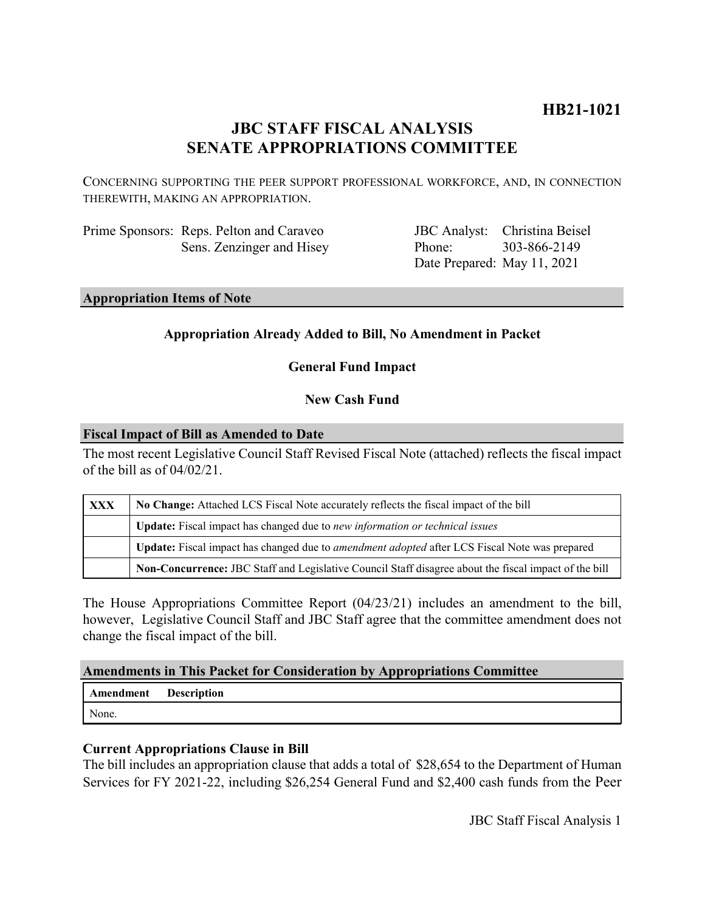# **HB21-1021**

# **JBC STAFF FISCAL ANALYSIS SENATE APPROPRIATIONS COMMITTEE**

CONCERNING SUPPORTING THE PEER SUPPORT PROFESSIONAL WORKFORCE, AND, IN CONNECTION THEREWITH, MAKING AN APPROPRIATION.

Prime Sponsors: Reps. Pelton and Caraveo Sens. Zenzinger and Hisey

JBC Analyst: Christina Beisel Phone: Date Prepared: May 11, 2021 303-866-2149

**Appropriation Items of Note**

### **Appropriation Already Added to Bill, No Amendment in Packet**

**General Fund Impact**

### **New Cash Fund**

#### **Fiscal Impact of Bill as Amended to Date**

The most recent Legislative Council Staff Revised Fiscal Note (attached) reflects the fiscal impact of the bill as of 04/02/21.

| <b>XXX</b> | No Change: Attached LCS Fiscal Note accurately reflects the fiscal impact of the bill                 |
|------------|-------------------------------------------------------------------------------------------------------|
|            | Update: Fiscal impact has changed due to new information or technical issues                          |
|            | Update: Fiscal impact has changed due to <i>amendment adopted</i> after LCS Fiscal Note was prepared  |
|            | Non-Concurrence: JBC Staff and Legislative Council Staff disagree about the fiscal impact of the bill |

The House Appropriations Committee Report (04/23/21) includes an amendment to the bill, however, Legislative Council Staff and JBC Staff agree that the committee amendment does not change the fiscal impact of the bill.

#### **Amendments in This Packet for Consideration by Appropriations Committee**

**Amendment Description** None.

#### **Current Appropriations Clause in Bill**

The bill includes an appropriation clause that adds a total of \$28,654 to the Department of Human Services for FY 2021-22, including \$26,254 General Fund and \$2,400 cash funds from the Peer